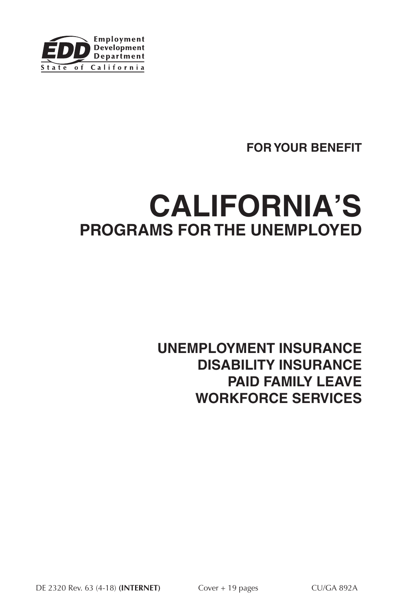

# **FOR YOUR BENEFIT**

# **CALIFORNIA'S PROGRAMS FOR THE UNEMPLOYED**

# **UNEMPLOYMENT INSURANCE DISABILITY INSURANCE PAID FAMILY LEAVE WORKFORCE SERVICES**

DE 2320 Rev. 63 (4-18) **(INTERNET)** Cover + 19 pages CU/GA 892A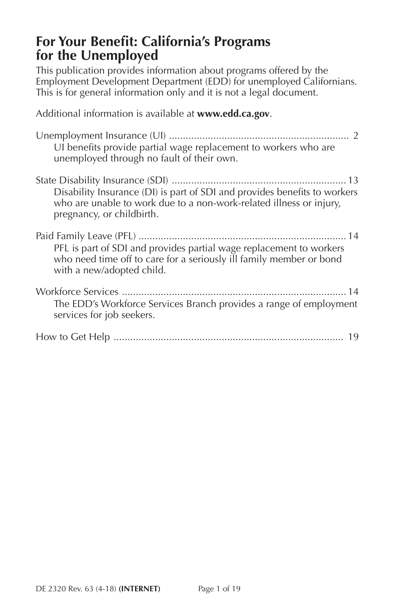# **For Your Benefit: California's Programs for the Unemployed**

This publication provides information about programs offered by the Employment Development Department (EDD) for unemployed Californians. This is for general information only and it is not a legal document.

Additional information is available at **<www.edd.ca.gov>**.

| UI benefits provide partial wage replacement to workers who are<br>unemployed through no fault of their own.                                                                  |
|-------------------------------------------------------------------------------------------------------------------------------------------------------------------------------|
| Disability Insurance (DI) is part of SDI and provides benefits to workers<br>who are unable to work due to a non-work-related illness or injury,<br>pregnancy, or childbirth. |
| PFL is part of SDI and provides partial wage replacement to workers<br>who need time off to care for a seriously ill family member or bond<br>with a new/adopted child.       |
| The EDD's Workforce Services Branch provides a range of employment<br>services for job seekers.                                                                               |
| 19                                                                                                                                                                            |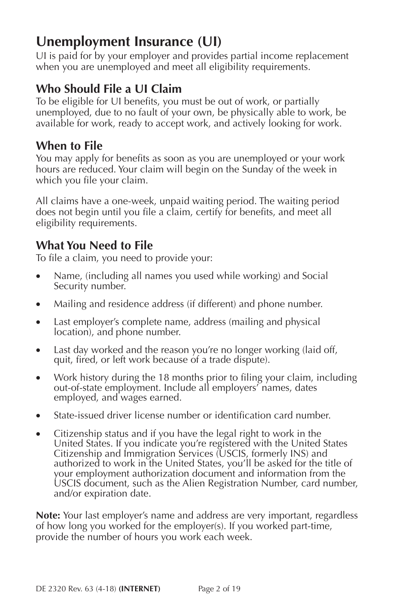# <span id="page-2-0"></span>**Unemployment Insurance (UI)**

UI is paid for by your employer and provides partial income replacement when you are unemployed and meet all eligibility requirements.

# **Who Should File a UI Claim**

To be eligible for UI benefits, you must be out of work, or partially unemployed, due to no fault of your own, be physically able to work, be available for work, ready to accept work, and actively looking for work.

# **When to File**

You may apply for benefits as soon as you are unemployed or your work hours are reduced. Your claim will begin on the Sunday of the week in which you file your claim.

All claims have a one-week, unpaid waiting period. The waiting period does not begin until you file a claim, certify for benefits, and meet all eligibility requirements.

# **What You Need to File**

To file a claim, you need to provide your:

- Name, (including all names you used while working) and Social Security number.
- Mailing and residence address (if different) and phone number.
- Last employer's complete name, address (mailing and physical location), and phone number.
- Last day worked and the reason you're no longer working (laid off, quit, fired, or left work because of a trade dispute).
- Work history during the 18 months prior to filing your claim, including out-of-state employment. Include all employers' names, dates employed, and wages earned.
- State-issued driver license number or identification card number.
- Citizenship status and if you have the legal right to work in the United States. If you indicate you're registered with the United States Citizenship and Immigration Services (USCIS, formerly INS) and authorized to work in the United States, you'll be asked for the title of your employment authorization document and information from the USCIS document, such as the Alien Registration Number, card number, and/or expiration date.

**Note:** Your last employer's name and address are very important, regardless of how long you worked for the employer(s). If you worked part-time, provide the number of hours you work each week.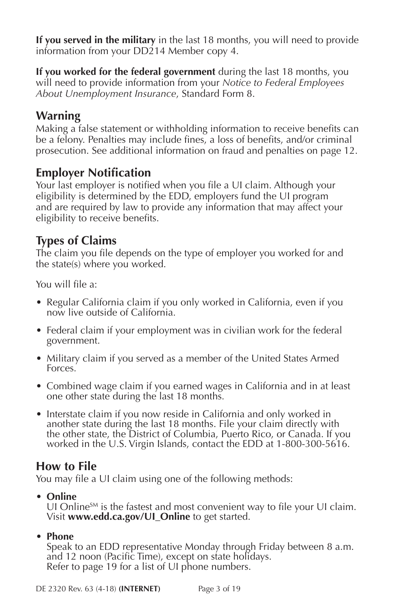**If you served in the military** in the last 18 months, you will need to provide information from your DD214 Member copy 4.

**If you worked for the federal government** during the last 18 months, you will need to provide information from your *Notice to Federal Employees About Unemployment Insurance*, Standard Form 8.

# **Warning**

Making a false statement or withholding information to receive benefits can be a felony. Penalties may include fines, a loss of benefits, and/or criminal prosecution. See additional information on fraud and penalties on page 12.

## **Employer Notification**

Your last employer is notified when you file a UI claim. Although your eligibility is determined by the EDD, employers fund the UI program and are required by law to provide any information that may affect your eligibility to receive benefits.

## **Types of Claims**

The claim you file depends on the type of employer you worked for and the state(s) where you worked.

You will file a:

- Regular California claim if you only worked in California, even if you now live outside of California.
- Federal claim if your employment was in civilian work for the federal government.
- Military claim if you served as a member of the United States Armed Forces.
- Combined wage claim if you earned wages in California and in at least one other state during the last 18 months.
- Interstate claim if you now reside in California and only worked in another state during the last 18 months. File your claim directly with the other state, the District of Columbia, Puerto Rico, or Canada. If you worked in the U.S. Virgin Islands, contact the EDD at 1-800-300-5616.

## **How to File**

You may file a UI claim using one of the following methods:

**• Online**

UI Online $S_M$  is the fastest and most convenient way to file your UI claim. Visit **[www.edd.ca.gov/UI\\_Online](http://www.edd.ca.gov/UI_Online)** to get started.

#### **• Phone**

Speak to an EDD representative Monday through Friday between 8 a.m. and 12 noon (Pacific Time), except on state holidays. Refer to page 19 for a list of UI phone numbers.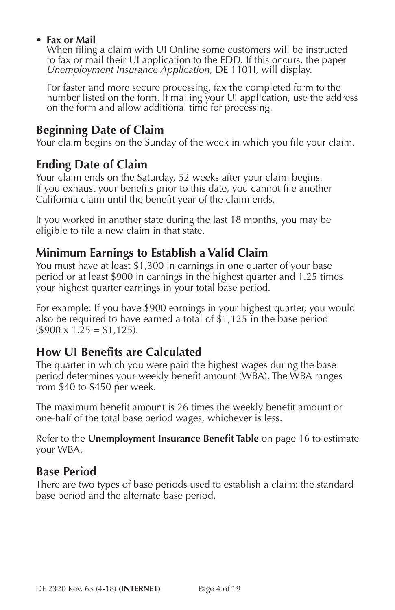#### **• Fax or Mail**

When filing a claim with UI Online some customers will be instructed to fax or mail their UI application to the EDD. If this occurs, the paper *Unemployment Insurance Application,* DE 1101I, will display.

For faster and more secure processing, fax the completed form to the number listed on the form. If mailing your UI application, use the address on the form and allow additional time for processing.

# **Beginning Date of Claim**

Your claim begins on the Sunday of the week in which you file your claim.

# **Ending Date of Claim**

Your claim ends on the Saturday, 52 weeks after your claim begins. If you exhaust your benefits prior to this date, you cannot file another California claim until the benefit year of the claim ends.

If you worked in another state during the last 18 months, you may be eligible to file a new claim in that state.

# **Minimum Earnings to Establish a Valid Claim**

You must have at least \$1,300 in earnings in one quarter of your base period or at least \$900 in earnings in the highest quarter and 1.25 times your highest quarter earnings in your total base period.

For example: If you have \$900 earnings in your highest quarter, you would also be required to have earned a total of \$1,125 in the base period  $($900 \times 1.25 = $1,125).$ 

# **How UI Benefits are Calculated**

The quarter in which you were paid the highest wages during the base period determines your weekly benefit amount (WBA). The WBA ranges from \$40 to \$450 per week.

The maximum benefit amount is 26 times the weekly benefit amount or one-half of the total base period wages, whichever is less.

Refer to the **[Unemployment Insurance Benefit Table](#page-16-0)** on page 16 to estimate your WBA.

# **Base Period**

There are two types of base periods used to establish a claim: the standard base period and the alternate base period.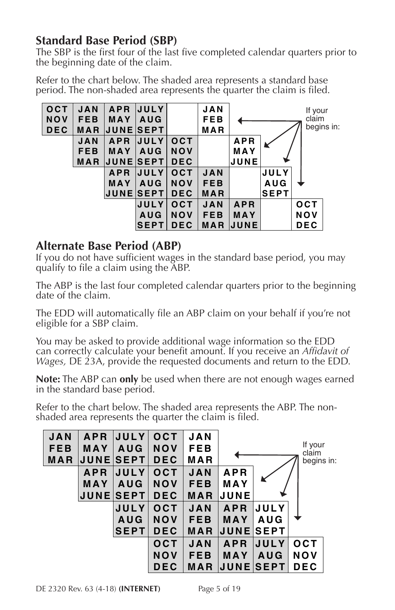## **Standard Base Period (SBP)**

The SBP is the first four of the last five completed calendar quarters prior to the beginning date of the claim.

Refer to the chart below. The shaded area represents a standard base period. The non-shaded area represents the quarter the claim is filed.



#### **Alternate Base Period (ABP)**

If you do not have sufficient wages in the standard base period, you may qualify to file a claim using the ABP.

The ABP is the last four completed calendar quarters prior to the beginning date of the claim.

The EDD will automatically file an ABP claim on your behalf if you're not eligible for a SBP claim.

You may be asked to provide additional wage information so the EDD can correctly calculate your benefit amount. If you receive an *Affidavit of Wages,* DE 23A, provide the requested documents and return to the EDD.

**Note:** The ABP can **only** be used when there are not enough wages earned in the standard base period.

Refer to the chart below. The shaded area represents the ABP. The nonshaded area represents the quarter the claim is filed.

| <b>APR</b> | <b>JULY</b> | OCT                                 | <b>JAN</b> |            |             |                                     |                                |
|------------|-------------|-------------------------------------|------------|------------|-------------|-------------------------------------|--------------------------------|
| MAY        | <b>AUG</b>  | <b>NOV</b>                          | FEB        |            |             |                                     |                                |
|            |             | <b>DEC</b>                          | MAR        |            |             |                                     |                                |
| <b>APR</b> | <b>JULY</b> | <b>OCT</b>                          | <b>JAN</b> | <b>APR</b> |             |                                     |                                |
| MAY        | <b>AUG</b>  | <b>NOV</b>                          | <b>FEB</b> | MAY        |             |                                     |                                |
|            |             | <b>DEC</b>                          | <b>MAR</b> | JUNE       |             |                                     |                                |
|            | <b>JULY</b> | <b>OCT</b>                          | <b>JAN</b> | <b>APR</b> | <b>JULY</b> |                                     |                                |
|            | <b>AUG</b>  | <b>NOV</b>                          | <b>FEB</b> | MAY        | <b>AUG</b>  |                                     |                                |
|            | <b>SEPT</b> | <b>DEC</b>                          | MAR        |            |             |                                     |                                |
|            |             | OCT                                 | <b>JAN</b> | <b>APR</b> | JULY        | <b>OCT</b>                          |                                |
|            |             | <b>NOV</b>                          | <b>FEB</b> | MAY        | <b>AUG</b>  | NOV                                 |                                |
|            |             | <b>DEC</b>                          | <b>MAR</b> |            |             | <b>DEC</b>                          |                                |
|            |             | <b>UUNEISEPT</b><br><b>JUNESEPT</b> |            |            |             | <b>JUNEISEPT</b><br><b>JUNESEPT</b> | If your<br>claim<br>begins in: |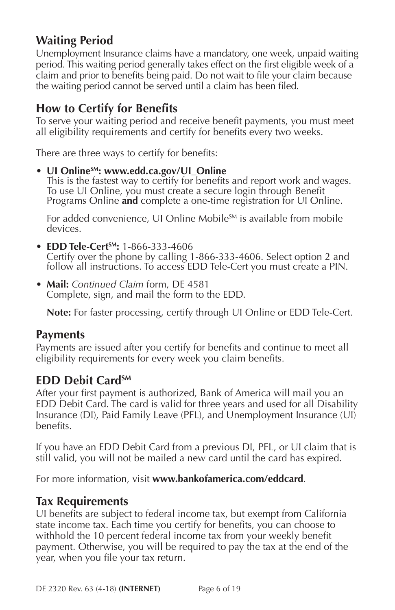# **Waiting Period**

Unemployment Insurance claims have a mandatory, one week, unpaid waiting period. This waiting period generally takes effect on the first eligible week of a claim and prior to benefits being paid. Do not wait to file your claim because the waiting period cannot be served until a claim has been filed.

# **How to Certify for Benefits**

To serve your waiting period and receive benefit payments, you must meet all eligibility requirements and certify for benefits every two weeks.

There are three ways to certify for benefits:

**• UI OnlineSM: [www.edd.ca.gov/UI\\_Online](www.edd.ca.gov/UI_Online)**

This is the fastest way to certify for benefits and report work and wages. To use UI Online, you must create a secure login through Benefit Programs Online **and** complete a one-time registration for UI Online.

For added convenience, UI Online Mobile<sup>SM</sup> is available from mobile devices.

- **• EDD Tele-CertSM:** 1-866-333-4606 Certify over the phone by calling 1-866-333-4606. Select option 2 and follow all instructions. To access EDD Tele-Cert you must create a PIN.
- **• Mail:** *Continued Claim* form, DE 4581 Complete, sign, and mail the form to the EDD.

**Note:** For faster processing, certify through UI Online or EDD Tele-Cert.

#### **Payments**

Payments are issued after you certify for benefits and continue to meet all eligibility requirements for every week you claim benefits.

#### **EDD Debit CardSM**

After your first payment is authorized, Bank of America will mail you an EDD Debit Card. The card is valid for three years and used for all Disability Insurance (DI), Paid Family Leave (PFL), and Unemployment Insurance (UI) benefits.

If you have an EDD Debit Card from a previous DI, PFL, or UI claim that is still valid, you will not be mailed a new card until the card has expired.

For more information, visit **<www.bankofamerica.com/eddcard>**.

#### **Tax Requirements**

UI benefits are subject to federal income tax, but exempt from California state income tax. Each time you certify for benefits, you can choose to withhold the 10 percent federal income tax from your weekly benefit payment. Otherwise, you will be required to pay the tax at the end of the year, when you file your tax return.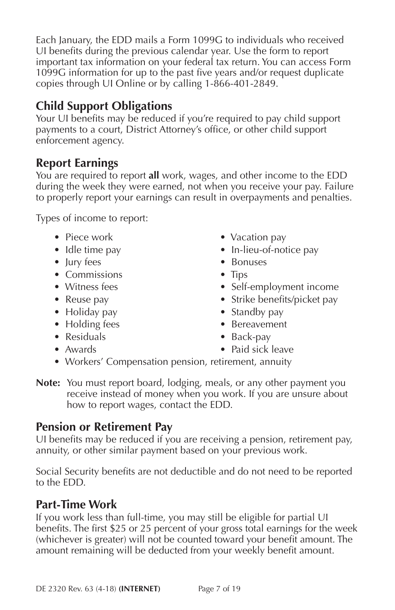Each January, the EDD mails a Form 1099G to individuals who received UI benefits during the previous calendar year. Use the form to report important tax information on your federal tax return. You can access Form 1099G information for up to the past five years and/or request duplicate copies through UI Online or by calling 1-866-401-2849.

# **Child Support Obligations**

Your UI benefits may be reduced if you're required to pay child support payments to a court, District Attorney's office, or other child support enforcement agency.

# **Report Earnings**

You are required to report **all** work, wages, and other income to the EDD during the week they were earned, not when you receive your pay. Failure to properly report your earnings can result in overpayments and penalties.

Types of income to report:

- 
- 
- 
- Commissions Tips
- 
- 
- Holiday pay **•** Standby pay
- Holding fees Bereavement
- Residuals Back-pay
- 
- Piece work Vacation pay
- Idle time pay **•** In-lieu-of-notice pay
- Jury fees Bonuses
	-
- Witness fees Self-employment income
- Reuse pay Strike benefits/picket pay
	-
	-
	-
- Awards Paid sick leave
- Workers' Compensation pension, retirement, annuity
- **Note:** You must report board, lodging, meals, or any other payment you receive instead of money when you work. If you are unsure about how to report wages, contact the EDD.

# **Pension or Retirement Pay**

UI benefits may be reduced if you are receiving a pension, retirement pay, annuity, or other similar payment based on your previous work.

Social Security benefits are not deductible and do not need to be reported to the EDD.

# **Part-Time Work**

If you work less than full-time, you may still be eligible for partial UI benefits. The first \$25 or 25 percent of your gross total earnings for the week (whichever is greater) will not be counted toward your benefit amount. The amount remaining will be deducted from your weekly benefit amount.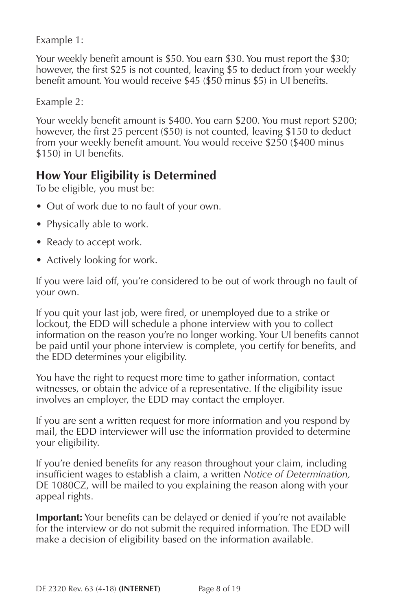Example 1:

Your weekly benefit amount is \$50. You earn \$30. You must report the \$30; however, the first \$25 is not counted, leaving \$5 to deduct from your weekly benefit amount. You would receive \$45 (\$50 minus \$5) in UI benefits.

Example 2:

Your weekly benefit amount is \$400. You earn \$200. You must report \$200; however, the first 25 percent (\$50) is not counted, leaving \$150 to deduct from your weekly benefit amount. You would receive \$250 (\$400 minus \$150) in UI benefits.

# **How Your Eligibility is Determined**

To be eligible, you must be:

- Out of work due to no fault of your own.
- Physically able to work.
- Ready to accept work.
- Actively looking for work.

If you were laid off, you're considered to be out of work through no fault of your own.

If you quit your last job, were fired, or unemployed due to a strike or lockout, the EDD will schedule a phone interview with you to collect information on the reason you're no longer working. Your UI benefits cannot be paid until your phone interview is complete, you certify for benefits, and the EDD determines your eligibility.

You have the right to request more time to gather information, contact witnesses, or obtain the advice of a representative. If the eligibility issue involves an employer, the EDD may contact the employer.

If you are sent a written request for more information and you respond by mail, the EDD interviewer will use the information provided to determine your eligibility.

If you're denied benefits for any reason throughout your claim, including insufficient wages to establish a claim, a written *Notice of Determination,* DE 1080CZ, will be mailed to you explaining the reason along with your appeal rights.

**Important:** Your benefits can be delayed or denied if you're not available for the interview or do not submit the required information. The EDD will make a decision of eligibility based on the information available.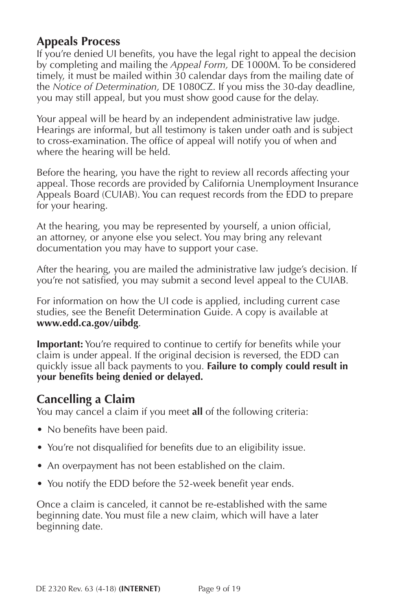# **Appeals Process**

If you're denied UI benefits, you have the legal right to appeal the decision by completing and mailing the *Appeal Form,* [DE 1000M.](http://www.edd.ca.gov/pdf_pub_ctr/de1000m.pdf) To be considered timely, it must be mailed within 30 calendar days from the mailing date of the *Notice of Determination,* DE 1080CZ. If you miss the 30-day deadline, you may still appeal, but you must show good cause for the delay.

Your appeal will be heard by an independent administrative law judge. Hearings are informal, but all testimony is taken under oath and is subject to cross-examination. The office of appeal will notify you of when and where the hearing will be held.

Before the hearing, you have the right to review all records affecting your appeal. Those records are provided by California Unemployment Insurance Appeals Board (CUIAB). You can request records from the EDD to prepare for your hearing.

At the hearing, you may be represented by yourself, a union official, an attorney, or anyone else you select. You may bring any relevant documentation you may have to support your case.

After the hearing, you are mailed the administrative law judge's decision. If you're not satisfied, you may submit a second level appeal to the CUIAB.

For information on how the UI code is applied, including current case studies, see the Benefit Determination Guide. A copy is available at **<www.edd.ca.gov/uibdg>**.

**Important:** You're required to continue to certify for benefits while your claim is under appeal. If the original decision is reversed, the EDD can quickly issue all back payments to you. **Failure to comply could result in your benefits being denied or delayed.**

## **Cancelling a Claim**

You may cancel a claim if you meet **all** of the following criteria:

- No benefits have been paid.
- You're not disqualified for benefits due to an eligibility issue.
- An overpayment has not been established on the claim.
- You notify the EDD before the 52-week benefit year ends.

Once a claim is canceled, it cannot be re-established with the same beginning date. You must file a new claim, which will have a later beginning date.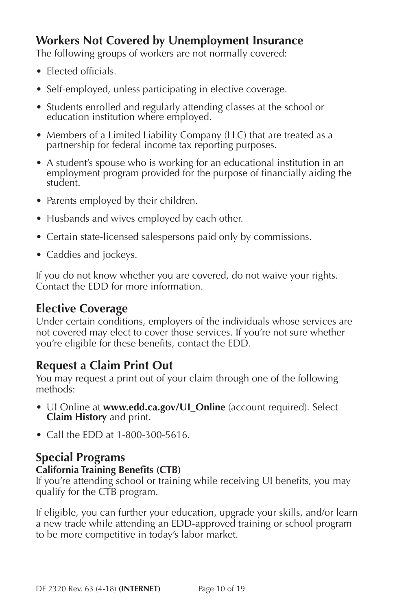# **Workers Not Covered by Unemployment Insurance**

The following groups of workers are not normally covered:

- Elected officials.
- Self-employed, unless participating in elective coverage.
- Students enrolled and regularly attending classes at the school or education institution where employed.
- Members of a Limited Liability Company (LLC) that are treated as a partnership for federal income tax reporting purposes.
- A student's spouse who is working for an educational institution in an employment program provided for the purpose of financially aiding the student.
- Parents employed by their children.
- Husbands and wives employed by each other.
- Certain state-licensed salespersons paid only by commissions.
- Caddies and jockeys.

If you do not know whether you are covered, do not waive your rights. Contact the EDD for more information.

## **Elective Coverage**

Under certain conditions, employers of the individuals whose services are not covered may elect to cover those services. If you're not sure whether you're eligible for these benefits, contact the EDD.

# **Request a Claim Print Out**

You may request a print out of your claim through one of the following methods:

- UI Online at **www.edd.ca.gov/UI Online** (account required). Select **Claim History** and print.
- Call the EDD at 1-800-300-5616.

# **Special Programs**

#### **California Training Benefits (CTB)**

If you're attending school or training while receiving UI benefits, you may qualify for the CTB program.

If eligible, you can further your education, upgrade your skills, and/or learn a new trade while attending an EDD-approved training or school program to be more competitive in today's labor market.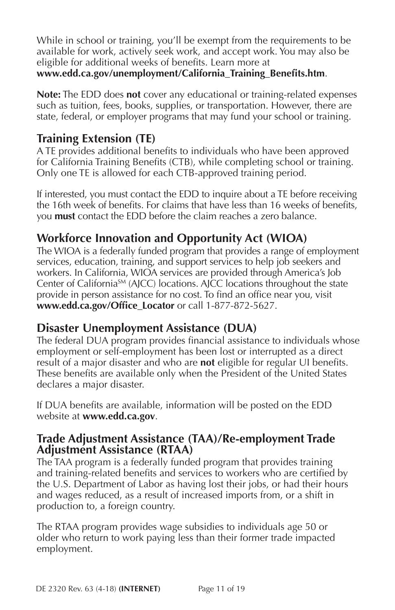While in school or training, you'll be exempt from the requirements to be available for work, actively seek work, and accept work. You may also be eligible for additional weeks of benefits. Learn more at

#### **[www.edd.ca.gov/unemployment/California\\_Training\\_Benefits.htm](www.edd.ca.gov/unemployment/California_Training_Benefits.htm)**.

**Note:** The EDD does **not** cover any educational or training-related expenses such as tuition, fees, books, supplies, or transportation. However, there are state, federal, or employer programs that may fund your school or training.

# **Training Extension (TE)**

A TE provides additional benefits to individuals who have been approved for California Training Benefits (CTB), while completing school or training. Only one TE is allowed for each CTB-approved training period.

If interested, you must contact the EDD to inquire about a TE before receiving the 16th week of benefits. For claims that have less than 16 weeks of benefits, you **must** contact the EDD before the claim reaches a zero balance.

# **Workforce Innovation and Opportunity Act (WIOA)**

The WIOA is a federally funded program that provides a range of employment services, education, training, and support services to help job seekers and workers. In California, WIOA services are provided through America's Job Center of CaliforniaSM (AJCC) locations. AJCC locations throughout the state provide in person assistance for no cost. To find an office near you, visit **[www.edd.ca.gov/Office\\_Locator](www.edd.ca.gov/Office_Locator)** or call 1-877-872-5627.

# **Disaster Unemployment Assistance (DUA)**

The federal DUA program provides financial assistance to individuals whose employment or self-employment has been lost or interrupted as a direct result of a major disaster and who are **not** eligible for regular UI benefits. These benefits are available only when the President of the United States declares a major disaster.

If DUA benefits are available, information will be posted on the EDD website at **<www.edd.ca.gov>**.

## **Trade Adjustment Assistance (TAA)/Re-employment Trade Adjustment Assistance (RTAA)**

The TAA program is a federally funded program that provides training and training-related benefits and services to workers who are certified by the U.S. Department of Labor as having lost their jobs, or had their hours and wages reduced, as a result of increased imports from, or a shift in production to, a foreign country.

The RTAA program provides wage subsidies to individuals age 50 or older who return to work paying less than their former trade impacted employment.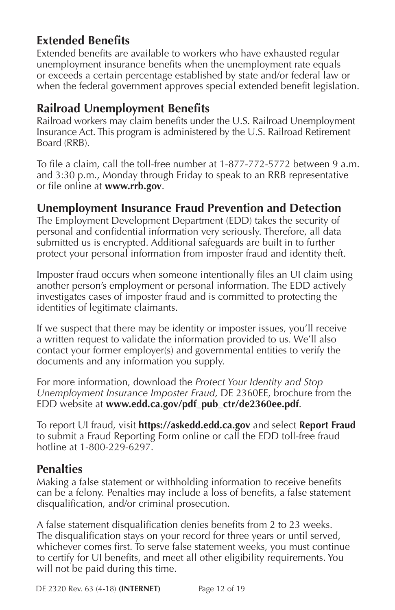# **Extended Benefits**

Extended benefits are available to workers who have exhausted regular unemployment insurance benefits when the unemployment rate equals or exceeds a certain percentage established by state and/or federal law or when the federal government approves special extended benefit legislation.

# **Railroad Unemployment Benefits**

Railroad workers may claim benefits under the U.S. Railroad Unemployment Insurance Act. This program is administered by the U.S. Railroad Retirement Board (RRB).

To file a claim, call the toll-free number at 1-877-772-5772 between 9 a.m. and 3:30 p.m., Monday through Friday to speak to an RRB representative or file online at **<www.rrb.gov>**.

## **Unemployment Insurance Fraud Prevention and Detection**

The Employment Development Department (EDD) takes the security of personal and confidential information very seriously. Therefore, all data submitted us is encrypted. Additional safeguards are built in to further protect your personal information from imposter fraud and identity theft.

Imposter fraud occurs when someone intentionally files an UI claim using another person's employment or personal information. The EDD actively investigates cases of imposter fraud and is committed to protecting the identities of legitimate claimants.

If we suspect that there may be identity or imposter issues, you'll receive a written request to validate the information provided to us. We'll also contact your former employer(s) and governmental entities to verify the documents and any information you supply.

For more information, download the *Protect Your Identity and Stop Unemployment Insurance Imposter Fraud,* DE 2360EE, brochure from the EDD website at **[www.edd.ca.gov/pdf\\_pub\\_ctr/de2360ee.pdf](www.edd.ca.gov/pdf_pub_ctr/de2360ee.pdf)**.

To report UI fraud, visit **<https://askedd.edd.ca.gov>** and select **Report Fraud** to submit a Fraud Reporting Form online or call the EDD toll-free fraud hotline at 1-800-229-6297.

## **Penalties**

Making a false statement or withholding information to receive benefits can be a felony. Penalties may include a loss of benefits, a false statement disqualification, and/or criminal prosecution.

A false statement disqualification denies benefits from 2 to 23 weeks. The disqualification stays on your record for three years or until served, whichever comes first. To serve false statement weeks, you must continue to certify for UI benefits, and meet all other eligibility requirements. You will not be paid during this time.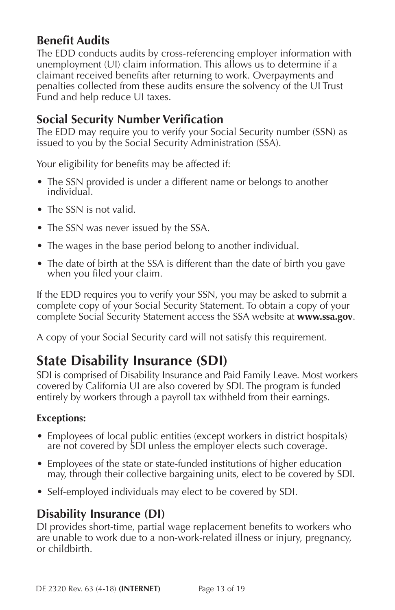# <span id="page-13-0"></span>**Benefit Audits**

The EDD conducts audits by cross-referencing employer information with unemployment (UI) claim information. This allows us to determine if a claimant received benefits after returning to work. Overpayments and penalties collected from these audits ensure the solvency of the UI Trust Fund and help reduce UI taxes.

# **Social Security Number Verification**

The EDD may require you to verify your Social Security number (SSN) as issued to you by the Social Security Administration (SSA).

Your eligibility for benefits may be affected if:

- The SSN provided is under a different name or belongs to another individual.
- The SSN is not valid.
- The SSN was never issued by the SSA.
- The wages in the base period belong to another individual.
- The date of birth at the SSA is different than the date of birth you gave when you filed your claim.

If the EDD requires you to verify your SSN, you may be asked to submit a complete copy of your Social Security Statement. To obtain a copy of your complete Social Security Statement access the SSA website at **<www.ssa.gov>**.

A copy of your Social Security card will not satisfy this requirement.

# **State Disability Insurance (SDI)**

SDI is comprised of Disability Insurance and Paid Family Leave. Most workers covered by California UI are also covered by SDI. The program is funded entirely by workers through a payroll tax withheld from their earnings.

#### **Exceptions:**

- Employees of local public entities (except workers in district hospitals) are not covered by SDI unless the employer elects such coverage.
- Employees of the state or state-funded institutions of higher education may, through their collective bargaining units, elect to be covered by SDI.
- Self-employed individuals may elect to be covered by SDI.

# **Disability Insurance (DI)**

DI provides short-time, partial wage replacement benefits to workers who are unable to work due to a non-work-related illness or injury, pregnancy, or childbirth.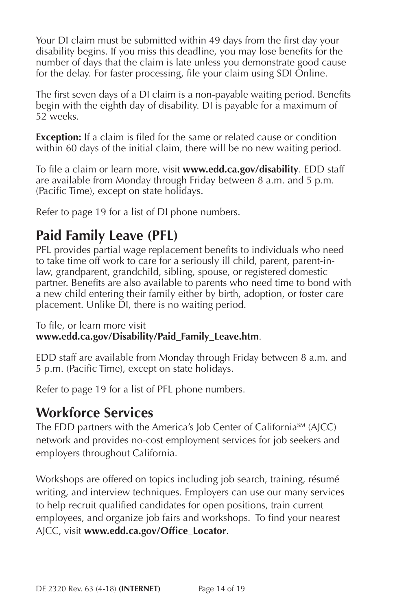<span id="page-14-0"></span>Your DI claim must be submitted within 49 days from the first day your disability begins. If you miss this deadline, you may lose benefits for the number of days that the claim is late unless you demonstrate good cause for the delay. For faster processing, file your claim using SDI Online.

The first seven days of a DI claim is a non-payable waiting period. Benefits begin with the eighth day of disability. DI is payable for a maximum of 52 weeks.

**Exception:** If a claim is filed for the same or related cause or condition within 60 days of the initial claim, there will be no new waiting period.

To file a claim or learn more, visit **<www.edd.ca.gov/disability>**. EDD staff are available from Monday through Friday between 8 a.m. and 5 p.m. (Pacific Time), except on state holidays.

Refer to page 19 for a list of DI phone numbers.

# **Paid Family Leave (PFL)**

PFL provides partial wage replacement benefits to individuals who need to take time off work to care for a seriously ill child, parent, parent-inlaw, grandparent, grandchild, sibling, spouse, or registered domestic partner. Benefits are also available to parents who need time to bond with a new child entering their family either by birth, adoption, or foster care placement. Unlike DI, there is no waiting period.

To file, or learn more visit **[www.edd.ca.gov/Disability/Paid\\_Family\\_Leave.htm](www.edd.ca.gov/Disability/Paid_Family_Leave.htm)**.

EDD staff are available from Monday through Friday between 8 a.m. and 5 p.m. (Pacific Time), except on state holidays.

Refer to page 19 for a list of PFL phone numbers.

# **Workforce Services**

The EDD partners with the America's Job Center of California<sup>SM</sup> (AJCC) network and provides no-cost employment services for job seekers and employers throughout California.

Workshops are offered on topics including job search, training, résumé writing, and interview techniques. Employers can use our many services to help recruit qualified candidates for open positions, train current employees, and organize job fairs and workshops. To find your nearest AJCC, visit **[www.edd.ca.gov/Office\\_Locator](http://www.edd.ca.gov/Office_Locator)**.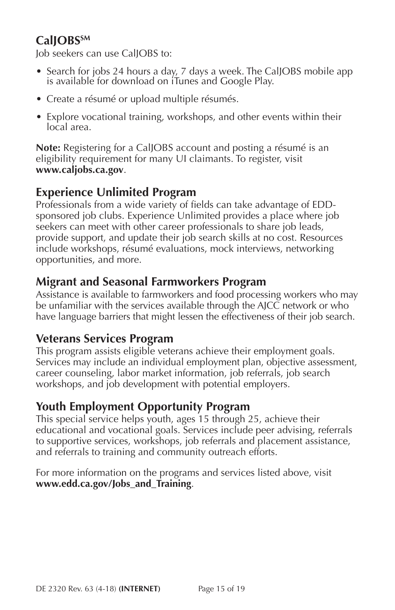# CallOBS<sup>SM</sup>

Job seekers can use CalJOBS to:

- Search for jobs 24 hours a day, 7 days a week. The CalJOBS mobile app is available for download on iTunes and Google Play.
- Create a résumé or upload multiple résumés.
- Explore vocational training, workshops, and other events within their local area.

**Note:** Registering for a CalJOBS account and posting a résumé is an eligibility requirement for many UI claimants. To register, visit **<www.caljobs.ca.gov>**.

# **Experience Unlimited Program**

Professionals from a wide variety of fields can take advantage of EDDsponsored job clubs. Experience Unlimited provides a place where job seekers can meet with other career professionals to share job leads, provide support, and update their job search skills at no cost. Resources include workshops, résumé evaluations, mock interviews, networking opportunities, and more.

# **Migrant and Seasonal Farmworkers Program**

Assistance is available to farmworkers and food processing workers who may be unfamiliar with the services available through the AJCC network or who have language barriers that might lessen the effectiveness of their job search.

## **Veterans Services Program**

This program assists eligible veterans achieve their employment goals. Services may include an individual employment plan, objective assessment, career counseling, labor market information, job referrals, job search workshops, and job development with potential employers.

# **Youth Employment Opportunity Program**

This special service helps youth, ages 15 through 25, achieve their educational and vocational goals. Services include peer advising, referrals to supportive services, workshops, job referrals and placement assistance, and referrals to training and community outreach efforts.

For more information on the programs and services listed above, visit **[www.edd.ca.gov/Jobs\\_and\\_Training](www.edd.ca.gov/Jobs_and_Training)**.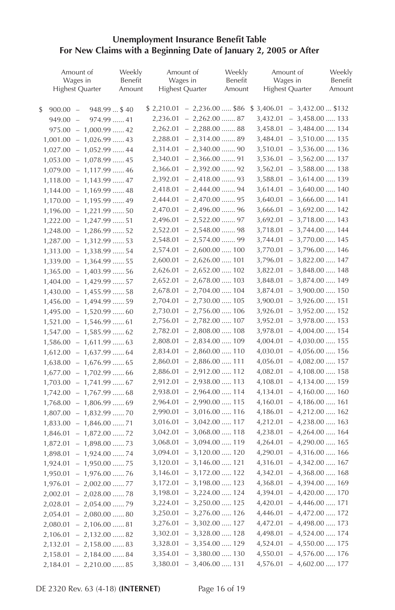#### <span id="page-16-0"></span>**Unemployment Insurance Benefit Table For New Claims with a Beginning Date of January 2, 2005 or After**

| Amount of<br>Wages in              | Weekly<br>Benefit |          | Amount of<br>Wages in            | Weekly<br>Benefit | Amount of<br>Wages in            | Weekly<br>Benefit |
|------------------------------------|-------------------|----------|----------------------------------|-------------------|----------------------------------|-------------------|
| <b>Highest Quarter</b>             | Amount            |          | <b>Highest Quarter</b>           | Amount            | <b>Highest Quarter</b>           | Amount            |
|                                    |                   |          |                                  |                   |                                  |                   |
| \$<br>$900.00 -$<br>$948.99$ \$40  |                   |          | $$2,210.01 - 2,236.00 \dots $86$ |                   | $$3,406.01 - 3,432.00  $132$     |                   |
| 974.99  41<br>$949.00 -$           |                   |          | $2,236.01 - 2,262.00 \dots 87$   |                   | $3,432.01 - 3,458.00 \ldots$ 133 |                   |
| $975.00 - 1,000.99 \dots .42$      |                   |          | $2,262.01 - 2,288.00 \dots 88$   |                   | $3,458.01 - 3,484.00 \ldots$ 134 |                   |
| $1,001.00 - 1,026.99 \ldots$ 43    |                   |          | $2,288.01 - 2,314.00 \dots 89$   |                   | $3,484.01 - 3,510.00 \dots 135$  |                   |
| $1,027.00 - 1,052.99 \ldots$ 44    |                   | 2,314.01 | $-2,340.00$ 90                   |                   | $3,510.01 - 3,536.00 \ldots 136$ |                   |
| $1,053.00 - 1,078.99 \ldots$ 45    |                   | 2,340.01 | $-2,366.00 \dots 91$             |                   | $3,536.01 - 3,562.00 \dots 137$  |                   |
| $1,079.00 - 1,117.99 \ldots$ 46    |                   |          | 2,366.01 - 2,392.00  92          |                   | $3,562.01 - 3,588.00 \ldots$ 138 |                   |
| $1,118.00 - 1,143.99 \ldots .47$   |                   |          | $2,392.01 - 2,418.00 \dots 93$   |                   | $3,588.01 - 3,614.00 \ldots 139$ |                   |
| $1,144.00 - 1,169.99 \ldots$ 48    |                   |          | $2,418.01 - 2,444.00 \dots 94$   |                   | $3,614.01 - 3,640.00 \dots 140$  |                   |
| $1,170.00 - 1,195.99 \ldots$ 49    |                   |          | $2,444.01 - 2,470.00 \dots 95$   |                   | $3,640.01 - 3,666.00 \ldots$ 141 |                   |
| $1,196.00 - 1,221.99 \ldots .50$   |                   |          | $2,470.01 - 2,496.00 \dots 96$   |                   | $3,666.01 - 3,692.00 \ldots 142$ |                   |
| $1,222.00 - 1,247.99 \ldots .51$   |                   |          | $2,496.01 - 2,522.00 \dots 97$   |                   | $3,692.01 - 3,718.00 \ldots$ 143 |                   |
| $1,248.00 - 1,286.99 \dots .52$    |                   |          | $2,522.01 - 2,548.00 \dots 98$   |                   | $3,718.01 - 3,744.00 \ldots$ 144 |                   |
| $1,287.00 - 1,312.99 \ldots .53$   |                   |          | $2,548.01 - 2,574.00 \dots 99$   |                   | $3,744.01 - 3,770.00 \dots 145$  |                   |
| $1,313.00 - 1,338.99 \ldots .54$   |                   |          | $2,574.01 - 2,600.00 \dots 100$  |                   | $3,770.01 - 3,796.00 \ldots 146$ |                   |
| $1,339.00 - 1,364.99 \ldots 55$    |                   |          | $2,600.01 - 2,626.00 \ldots 101$ |                   | $3,796.01 - 3,822.00 \dots 147$  |                   |
| $1,365.00 - 1,403.99 \ldots .56$   |                   |          | $2,626.01 - 2,652.00 \ldots 102$ |                   | $3,822.01 - 3,848.00 \ldots$ 148 |                   |
| $1,404.00 - 1,429.99 \dots .57$    |                   |          | $2,652.01 - 2,678.00 \ldots 103$ |                   | $3,848.01 - 3,874.00 \ldots$ 149 |                   |
| $1,430.00 - 1,455.99 \ldots .58$   |                   |          | $2,678.01 - 2,704.00 \ldots 104$ |                   | $3,874.01 - 3,900.00 \ldots 150$ |                   |
| $1,456.00 - 1,494.99 \ldots .59$   |                   |          | $2,704.01 - 2,730.00 \dots 105$  |                   | $3,900.01 - 3,926.00 \dots 151$  |                   |
| $1,495.00 - 1,520.99 \dots 60$     |                   |          | $2,730.01 - 2,756.00 \ldots 106$ |                   | $3,926.01 - 3,952.00 \dots 152$  |                   |
| $1,521.00 - 1,546.99 \ldots 61$    |                   |          | $2,756.01 - 2,782.00 \ldots 107$ |                   | $3,952.01 - 3,978.00 \dots 153$  |                   |
| $1,547.00 - 1,585.99 \ldots$ 62    |                   |          | 2,782.01 - 2,808.00  108         |                   | $3,978.01 - 4,004.00 \ldots 154$ |                   |
| $1,586.00 - 1,611.99 \ldots$ 63    |                   |          | $2,808.01 - 2,834.00 \ldots 109$ |                   | $4,004.01 - 4,030.00 \ldots 155$ |                   |
| $1,612.00 - 1,637.99 \ldots .64$   |                   |          | $2,834.01 - 2,860.00 \dots 110$  |                   | $4,030.01 - 4,056.00 \ldots 156$ |                   |
| $1,638.00 - 1,676.99 \ldots .65$   |                   |          | $2,860.01 - 2,886.00 \dots 111$  |                   | $4,056.01 - 4,082.00 \ldots 157$ |                   |
| $1,677.00 - 1,702.99 \ldots .66$   |                   | 2,886.01 | $-2,912.00 \dots 112$            |                   | $4,082.01 - 4,108.00 \ldots 158$ |                   |
| $1,703.00 - 1,741.99 \ldots 67$    |                   |          | $2,912.01 - 2,938.00 \dots 113$  |                   | $4,108.01 - 4,134.00 \ldots 159$ |                   |
| $1,742.00 - 1,767.99 \ldots$ 68    |                   |          | 2,938.01 - 2,964.00  114         |                   | $4,134.01 - 4,160.00 \ldots 160$ |                   |
| $1,768.00 - 1,806.99 \ldots$ 69    |                   |          | $2,964.01 - 2,990.00 \dots 115$  |                   | $4,160.01 - 4,186.00 \ldots 161$ |                   |
| $1,807.00 - 1,832.99 \ldots .70$   |                   |          | $2,990.01 - 3,016.00 \ldots 116$ |                   | $4,186.01 - 4,212.00 \ldots 162$ |                   |
| $1,833.00 - 1,846.00 \ldots 71$    |                   |          | $3,016.01 - 3,042.00 \ldots 117$ |                   | $4,212.01 - 4,238.00 \ldots 163$ |                   |
| $1,846.01 - 1,872.00 \ldots 72$    |                   |          | $3,042.01 - 3,068.00 \dots 118$  |                   | $4,238.01 - 4,264.00 \ldots 164$ |                   |
| $1,872.01 - 1,898.00 \ldots 73$    |                   |          | $3,068.01 - 3,094.00 \dots 119$  |                   | $4,264.01 - 4,290.00 \ldots 165$ |                   |
| $1,898.01 - 1,924.00 \ldots .74$   |                   |          | $3,094.01 - 3,120.00 \dots 120$  |                   | $4,290.01 - 4,316.00 \ldots 166$ |                   |
| $1,924.01 - 1,950.00 \ldots .75$   |                   |          | $3,120.01 - 3,146.00 \ldots 121$ |                   | $4,316.01 - 4,342.00 \ldots 167$ |                   |
| 1,950.01<br>$-1,976.00 \ldots 76$  |                   | 3,146.01 | $-3,172.00 \ldots 122$           |                   | $4,342.01 - 4,368.00 \ldots 168$ |                   |
| $-2,002.00$ 77<br>1,976.01         |                   |          | $3,172.01 - 3,198.00 \ldots$ 123 |                   | $4,368.01 - 4,394.00 \ldots 169$ |                   |
| 2,002.01<br>$-2,028.00$ 78         |                   |          | $3,198.01 - 3,224.00 \dots 124$  |                   | $4,394.01 - 4,420.00 \ldots 170$ |                   |
| $-2,054.00 \ldots .79$<br>2,028.01 |                   |          | $3,224.01 - 3,250.00 \dots 125$  |                   | $4,420.01 - 4,446.00 \ldots 171$ |                   |
| $-2,080.00$ 80<br>2,054.01         |                   |          | $3,250.01 - 3,276.00 \dots 126$  |                   | $4,446.01 - 4,472.00 \ldots 172$ |                   |
| $-2,106.00$ 81<br>2,080.01         |                   |          | $3,276.01 - 3,302.00 \ldots 127$ |                   | $4,472.01 - 4,498.00 \ldots$ 173 |                   |
| 2,106.01<br>$-2,132.00 \ldots 82$  |                   |          | $3,302.01 - 3,328.00 \ldots 128$ |                   | 4,498.01 - 4,524.00  174         |                   |
| $2,132.01 - 2,158.00 \ldots$ 83    |                   |          | $3,328.01 - 3,354.00 \dots 129$  |                   | $4,524.01 - 4,550.00 \ldots 175$ |                   |
| $2,158.01 - 2,184.00 \ldots 84$    |                   |          | $3,354.01 - 3,380.00 \dots 130$  |                   | $4,550.01 - 4,576.00 \ldots 176$ |                   |
| $2,184.01 - 2,210.00 \ldots 85$    |                   |          | $3,380.01 - 3,406.00 \dots 131$  |                   | $4,576.01 - 4,602.00 \ldots 177$ |                   |
|                                    |                   |          |                                  |                   |                                  |                   |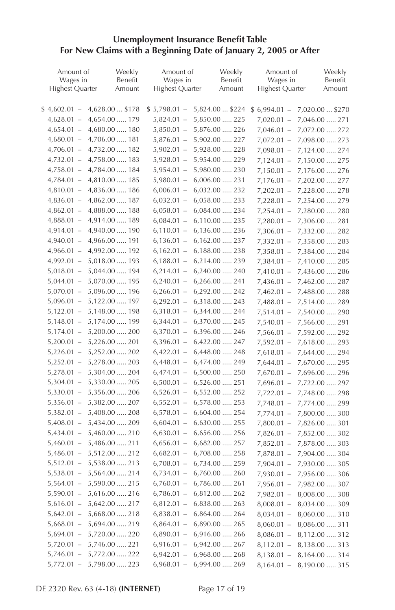#### **Unemployment Insurance Benefit Table For New Claims with a Beginning Date of January 2, 2005 or After**

| Amount of              | Weekly               | Amount of              | Weekly                 | Amount of              | Weekly          |
|------------------------|----------------------|------------------------|------------------------|------------------------|-----------------|
| Wages in               | Benefit              | Wages in               | Benefit                | Wages in               | Benefit         |
| <b>Highest Quarter</b> | Amount               | <b>Highest Quarter</b> | Amount                 | <b>Highest Quarter</b> | Amount          |
|                        |                      |                        |                        |                        |                 |
| $$4,602.01 -$          | 4,628.00  \$178      | $$5,798.01 -$          | 5,824.00  \$224        | $$6,994.01 -$          | 7,020.00  \$270 |
| $4,628.01 -$           | 4,654.00  179        | $5,824.01 -$           | 5,850.00  225          | $7,020.01 -$           | 7,046.00  271   |
| $4,654.01 -$           | 4,680.00  180        | $5,850.01 -$           | 5,876.00  226          | $7,046.01 -$           | 7,072.00  272   |
| $4,680.01 -$           | 4,706.00  181        | $5,876.01 -$           | 5,902.00  227          | $7,072.01 -$           | 7,098.00  273   |
| $4,706.01 -$           | 4,732.00  182        | $5,902.01 -$           | 5,928.00  228          | $7,098.01 -$           | 7,124.00  274   |
| $4,732.01 -$           | 4,758.00  183        | $5,928.01 -$           | 5,954.00  229          | $7,124.01 -$           | 7,150.00  275   |
| $4,758.01 -$           | 4,784.00  184        | $5,954.01 -$           | 5,980.00  230          | $7,150.01 -$           | 7,176.00  276   |
| $4,784.01 -$           | 4,810.00  185        | $5,980.01 -$           | $6,006.00 \ldots 231$  | $7,176.01 -$           | 7,202.00  277   |
| $4,810.01 -$           | 4,836.00  186        | $6,006.01 -$           | 6,032.00  232          | $7,202.01 -$           | 7,228.00  278   |
| $4,836.01 -$           | 4,862.00  187        | $6,032.01 -$           | $6,058.00 \ldots$ .233 | $7,228.01 -$           | 7,254.00  279   |
| $4,862.01 -$           | 4,888.00  188        | $6,058.01 -$           | 6,084.00  234          | $7,254.01 -$           | 7,280.00  280   |
| $4,888.01 -$           | 4,914.00  189        | $6,084.01 -$           | 6,110.00  235          | $7,280.01 -$           | 7,306.00  281   |
| $4,914.01 -$           | 4,940.00  190        | $6,110.01 -$           | 6,136.00  236          | $7,306.01 -$           | 7,332.00  282   |
| $4,940.01 -$           | 4,966.00  191        | $6,136.01 -$           | 6,162.00  237          | $7,332.01 -$           | 7,358.00  283   |
| $4,966.01 -$           | 4,992.00  192        | $6,162.01 -$           | 6,188.00  238          | $7,358.01 -$           | 7,384.00  284   |
| $4,992.01 -$           | 5,018.00  193        | $6,188.01 -$           | 6,214.00  239          | $7,384.01 -$           | 7,410.00  285   |
| $5,018.01 -$           | 5,044.00  194        | $6,214.01 -$           | $6,240.00$ 240         | $7,410.01 -$           | 7,436.00  286   |
| $5,044.01 -$           | 5,070.00  195        | $6,240.01 -$           | $6,266.00 \ldots 241$  | $7,436.01 -$           | 7,462.00  287   |
| $5,070.01 -$           | $5,096.00 \dots 196$ | $6,266.01 -$           | 6,292.00  242          | $7,462.01 -$           | 7,488.00  288   |
| $5,096.01 -$           | 5,122.00  197        | $6,292.01 -$           | 6,318.00  243          | $7,488.01 -$           | 7,514.00  289   |
| $5,122.01 -$           | 5,148.00  198        | $6,318.01 -$           | 6,344.00  244          | $7,514.01 -$           | 7,540.00  290   |
| $5,148.01 -$           | 5,174.00  199        | $6,344.01 -$           | 6,370.00  245          | $7,540.01 -$           | 7,566.00  291   |
| $5,174.01 -$           | $5,200.00 \dots 200$ | $6,370.01 -$           | 6,396.00  246          | $7,566.01 -$           | 7,592.00  292   |
| $5,200.01 -$           | 5,226.00  201        | $6,396.01 -$           | 6,422.00  247          | $7,592.01 -$           | 7,618.00  293   |
| $5,226.01 -$           | 5,252.00  202        | $6,422.01 -$           | 6,448.00  248          | $7,618.01 -$           | 7,644.00  294   |
| $5,252.01 -$           | 5,278.00  203        | $6,448.01 -$           | 6,474.00  249          | $7,644.01 -$           | 7,670.00  295   |
| $5,278.01 -$           | 5,304.00  204        | $6,474.01 -$           | 6,500.00  250          | $7,670.01 -$           | 7,696.00  296   |
| $5,304.01 -$           | 5,330.00  205        | $6,500.01 -$           | 6,526.00  251          | $7,696.01 -$           | 7,722.00  297   |
| $5,330.01 -$           | 5,356.00  206        | $6,526.01 -$           | 6,552.00  252          | $7,722.01 -$           | 7,748.00  298   |
| $5,356.01 -$           | 5,382.00  207        | $6,552.01 -$           | 6,578.00  253          | $7,748.01 -$           | 7,774.00  299   |
| $5,382.01 -$           | 5,408.00  208        | $6,578.01 -$           | $6,604.00 \ldots 254$  | $7,774.01 -$           | 7,800.00  300   |
| $5,408.01 -$           | 5,434.00  209        | $6,604.01 -$           | $6,630.00$ 255         | $7,800.01 -$           | 7,826.00  301   |
| $5,434.01 -$           | 5,460.00  210        | $6,630.01 -$           | $6,656.00$ 256         | $7,826.01 -$           | 7,852.00  302   |
| $5,460.01 -$           | 5,486.00  211        | $6,656.01 -$           | $6,682.00 \ldots 257$  | $7,852.01 -$           | 7,878.00  303   |
| $5,486.01 -$           | 5,512.00  212        | $6,682.01 -$           | 6,708.00  258          | $7,878.01 -$           | 7,904.00  304   |
| $5,512.01 -$           | 5,538.00  213        | $6,708.01 -$           | 6,734.00  259          | $7,904.01 -$           | 7,930.00  305   |
| $5,538.01 -$           | 5,564.00  214        | $6,734.01 -$           | $6,760.00 \ldots 260$  | $7,930.01 -$           | 7,956.00  306   |
| $5,564.01 -$           | $5,590.00$ 215       | $6,760.01 -$           | 6,786.00  261          | $7,956.01 -$           |                 |
| $5,590.01 -$           | 5,616.00  216        | $6,786.01 -$           | 6,812.00  262          |                        | 7,982.00  307   |
| $5,616.01 -$           | 5,642.00  217        | $6,812.01 -$           | 6,838.00  263          | $7,982.01 -$           | 8,008.00  308   |
| $5,642.01 -$           |                      |                        |                        | $8,008.01 -$           | 8,034.00  309   |
|                        | 5,668.00  218        | $6,838.01 -$           | $6,864.00 \ldots 264$  | $8,034.01 -$           | 8,060.00  310   |
| $5,668.01 -$           | 5,694.00  219        | $6,864.01 -$           | $6,890.00$ 265         | $8,060.01 -$           | 8,086.00  311   |
| $5,694.01 -$           | 5,720.00  220        | $6,890.01 -$           | 6,916.00  266          | $8,086.01 -$           | 8,112.00  312   |
| $5,720.01 -$           | 5,746.00  221        | $6,916.01 -$           | 6,942.00  267          | $8,112.01 -$           | 8,138.00  313   |
| $5,746.01 -$           | 5,772.00  222        | $6,942.01 -$           | 6,968.00  268          | $8,138.01 -$           | 8,164.00  314   |
| $5,772.01 -$           | 5,798.00  223        | $6,968.01 -$           | 6,994.00  269          | $8,164.01 -$           | 8,190.00  315   |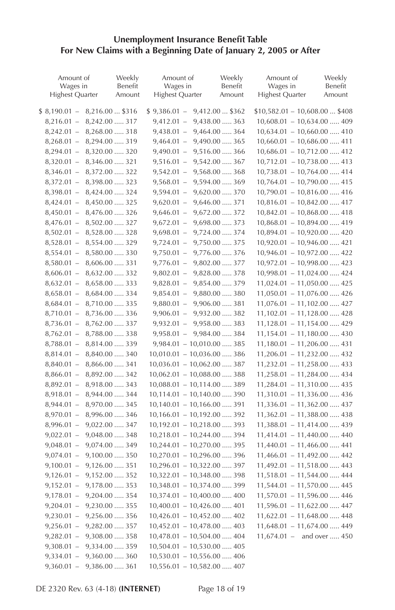#### **Unemployment Insurance Benefit Table** For New Claims with a Beginning Date of January 2, 2005 or After

| Amount of<br>Wages in<br><b>Highest Quarter</b> | Weekly<br>Benefit<br>Amount | Amount of<br>Wages in<br><b>Highest Quarter</b> | Weekly<br>Benefit<br>Amount          | Amount of<br>Wages in<br><b>Highest Quarter</b> | Weekly<br>Benefit<br>Amount |
|-------------------------------------------------|-----------------------------|-------------------------------------------------|--------------------------------------|-------------------------------------------------|-----------------------------|
| $$8,190.01 -$                                   | 8,216.00  \$316             | $$9,386.01 -$                                   | 9,412.00  \$362                      | $$10,582.01 - 10,608.00  $408$                  |                             |
| $8,216.01 -$                                    | 8,242.00  317               | $9,412.01 -$                                    | 9,438.00  363                        | $10,608.01 - 10,634.00 \ldots$ 409              |                             |
| $8,242.01 - 8,268.00 \dots 318$                 |                             | $9,438.01 -$                                    | 9,464.00  364                        | $10,634.01 - 10,660.00 \dots$ 410               |                             |
| $8,268.01 - 8,294.00 \ldots$ 319                |                             | $9,464.01 -$                                    | 9,490.00  365                        | $10,660.01 - 10,686.00 \ldots$ . 411            |                             |
| $8,294.01 - 8,320.00 \dots 320$                 |                             | $9,490.01 -$                                    | $9,516.00 \dots 366$                 | $10,686.01 - 10,712.00 \ldots$ . 412            |                             |
| $8,320.01 - 8,346.00 \ldots 321$                |                             | $9,516.01 -$                                    | 9,542.00  367                        | $10,712.01 - 10,738.00 \ldots$ . 413            |                             |
| $8,346.01 - 8,372.00 \dots 322$                 |                             | $9,542.01 -$                                    | 9,568.00  368                        | $10,738.01 - 10,764.00 \ldots$ . 414            |                             |
| $8,372.01 -$                                    | 8,398.00  323               | $9,568.01 -$                                    | 9,594.00  369                        | $10,764.01 - 10,790.00 \ldots$ . 415            |                             |
| $8,398.01 -$                                    | 8,424.00  324               | $9,594.01 -$                                    | 9,620.00  370                        | $10,790.01 - 10,816.00 \ldots$ . 416            |                             |
| $8,424.01 -$                                    | 8,450.00  325               | $9,620.01 -$                                    | 9,646.00  371                        | $10,816.01 - 10,842.00 \ldots 417$              |                             |
| $8,450.01 -$                                    | 8,476.00  326               | $9,646.01 -$                                    | 9,672.00  372                        | $10,842.01 - 10,868.00 \ldots$ . 418            |                             |
| $8,476.01 -$                                    | 8,502.00  327               | $9,672.01 -$                                    | 9,698.00  373                        | $10,868.01 - 10,894.00 \ldots$ . 419            |                             |
| $8,502.01 -$                                    | 8,528.00  328               | $9,698.01 -$                                    | 9,724.00  374                        | $10,894.01 - 10,920.00 \dots 420$               |                             |
| $8,528.01 -$                                    | 8,554.00  329               | $9,724.01 -$                                    | 9,750.00  375                        | $10,920.01 - 10,946.00 \ldots$ . 421            |                             |
| $8,554.01 -$                                    | 8,580.00  330               | $9,750.01 -$                                    | 9,776.00  376                        | $10,946.01 - 10,972.00 \ldots$ . 422            |                             |
| $8,580.01 -$                                    | 8,606.00  331               | $9,776.01 -$                                    | 9,802.00  377                        | $10,972.01 - 10,998.00 \ldots$ . 423            |                             |
| $8,606.01 -$                                    | 8,632.00  332               | $9,802.01 -$                                    | 9,828.00  378                        | $10,998.01 - 11,024.00 \ldots$ . 424            |                             |
| $8,632.01 -$                                    | 8,658.00  333               | $9,828.01 -$                                    | 9,854.00  379                        | $11,024.01 - 11,050.00 \ldots$ 425              |                             |
| $8,658.01 - 8,684.00 \ldots$ 334                |                             |                                                 | $9,854.01 - 9,880.00 \dots 380$      | $11,050.01 - 11,076.00 \ldots$ . 426            |                             |
| $8,684.01 -$                                    | 8,710.00  335               |                                                 | $9,880.01 - 9,906.00 \dots 381$      | $11,076.01 - 11,102.00 \ldots 427$              |                             |
| $8,710.01 -$                                    | 8,736.00  336               |                                                 | $9,906.01 - 9,932.00 \dots 382$      | $11,102.01 - 11,128.00 \ldots$ 428              |                             |
| $8,736.01 -$                                    | 8,762.00  337               |                                                 | $9,932.01 - 9,958.00 \dots 383$      | $11,128.01 - 11,154.00 \ldots$ . 429            |                             |
| $8,762.01 -$                                    | 8,788.00  338               |                                                 | $9,958.01 - 9,984.00 \dots 384$      | $11,154.01 - 11,180.00 \ldots$ . 430            |                             |
| $8,788.01 -$                                    | 8,814.00  339               |                                                 | $9,984.01 - 10,010.00 \dots 385$     | $11,180.01 - 11,206.00 \ldots 431$              |                             |
| $8,814.01 -$                                    | 8,840.00  340               |                                                 | $10,010.01 - 10,036.00 \ldots$ 386   | $11,206.01 - 11,232.00 \ldots$ . 432            |                             |
| $8,840.01 -$                                    | 8,866.00  341               |                                                 | $10,036.01 - 10,062.00 \ldots$ 387   | $11,232.01 - 11,258.00 \ldots$ . 433            |                             |
| $8,866.01 -$                                    | 8,892.00  342               |                                                 | $10,062.01 - 10,088.00 \ldots$ 388   | $11,258.01 - 11,284.00 \ldots$ . 434            |                             |
| $8,892.01 -$                                    | 8,918.00  343               |                                                 | $10,088.01 - 10,114.00 \ldots$ 389   | $11,284.01 - 11,310.00 \ldots 435$              |                             |
| $8,918.01 -$                                    | 8,944.00  344               |                                                 | $10,114.01 - 10,140.00 \ldots$ 390   | $11,310.01 - 11,336.00 \ldots$ 436              |                             |
| $8,944.01 -$                                    | 8,970.00  345               |                                                 | $10,140.01 - 10,166.00 \ldots$ 391   | $11,336.01 - 11,362.00 \ldots$ . 437            |                             |
| $8,970.01 -$                                    | 8,996.00  346               |                                                 | $10,166.01 - 10,192.00 \ldots$ 392   | $11,362.01 - 11,388.00 \ldots$ . 438            |                             |
| $8,996.01 -$                                    | 9,022.00  347               |                                                 | $10,192.01 - 10,218.00 \ldots$ 393   | $11,388.01 - 11,414.00 \ldots$ .439             |                             |
| $9,022.01 -$                                    | 9,048.00  348               |                                                 | $10,218.01 - 10,244.00 \ldots$ 394   | $11,414.01 - 11,440.00 \ldots$ . 440            |                             |
| $9,048.01 -$                                    | $9,074.00 \dots 349$        |                                                 | $10,244.01 - 10,270.00 \ldots$ 395   | $11,440.01 - 11,466.00 \ldots$ . 441            |                             |
| $9,074.01 -$                                    | $9,100.00 \dots 350$        |                                                 | $10,270.01 - 10,296.00 \ldots$ 396   | $11,466.01 - 11,492.00 \ldots$ . 442            |                             |
| $9,100.01 -$                                    | 9,126.00  351               |                                                 | $10,296.01 - 10,322.00 \ldots$ 397   | $11,492.01 - 11,518.00 \ldots$ . 443            |                             |
| $9,126.01 -$                                    | 9,152.00  352               |                                                 | $10,322.01 - 10,348.00 \ldots$ 398   | $11,518.01 - 11,544.00 \ldots$ . 444            |                             |
| $9,152.01 -$                                    | 9,178.00  353               |                                                 | $10,348.01 - 10,374.00 \ldots$ 399   | $11,544.01 - 11,570.00 \ldots$ . 445            |                             |
| $9,178.01 -$                                    | 9,204.00  354               |                                                 | $10,374.01 - 10,400.00 \ldots$ . 400 | $11,570.01 - 11,596.00 \ldots$ . 446            |                             |
| $9,204.01 -$                                    | 9,230.00  355               |                                                 | $10,400.01 - 10,426.00 \ldots$ . 401 | $11,596.01 - 11,622.00 \ldots$ . 447            |                             |
| $9,230.01 -$                                    | 9,256.00  356               |                                                 | $10,426.01 - 10,452.00 \ldots$ . 402 | $11,622.01 - 11,648.00 \ldots$ . 448            |                             |
| $9,256.01 -$                                    | 9,282.00  357               |                                                 | $10,452.01 - 10,478.00 \ldots$ . 403 | $11,648.01 - 11,674.00 \ldots$ . 449            |                             |
| $9,282.01 -$                                    | 9,308.00  358               |                                                 | $10,478.01 - 10,504.00 \ldots$ . 404 | $11,674.01 -$ and over  450                     |                             |
| $9,308.01 -$                                    | 9,334.00  359               |                                                 | $10,504.01 - 10,530.00 \ldots$ . 405 |                                                 |                             |
| $9,334.01 -$                                    | $9,360.00 \dots 360$        |                                                 | $10,530.01 - 10,556.00 \ldots$ . 406 |                                                 |                             |
| $9,360.01 -$                                    | 9,386.00  361               |                                                 | $10,556.01 - 10,582.00 \ldots, 407$  |                                                 |                             |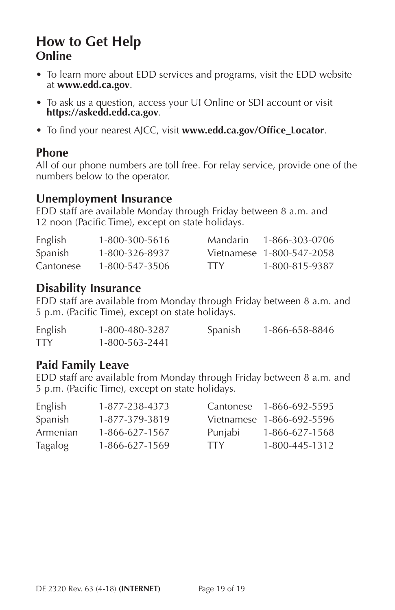# <span id="page-19-0"></span>**How to Get Help Online**

- To learn more about EDD services and programs, visit the EDD website at **<www.edd.ca.gov>**.
- To ask us a question, access your UI Online or SDI account or visit **<https://askedd.edd.ca.gov>**.
- To find your nearest AJCC, visit **[www.edd.ca.gov/Office\\_Locator](www.edd.ca.gov/Office_Locator)**.

#### **Phone**

All of our phone numbers are toll free. For relay service, provide one of the numbers below to the operator.

### **Unemployment Insurance**

EDD staff are available Monday through Friday between 8 a.m. and 12 noon (Pacific Time), except on state holidays.

| English   | 1-800-300-5616 | Mandarin   | 1-866-303-0706            |
|-----------|----------------|------------|---------------------------|
| Spanish   | 1-800-326-8937 |            | Vietnamese 1-800-547-2058 |
| Cantonese | 1-800-547-3506 | <b>TTY</b> | 1-800-815-9387            |

### **Disability Insurance**

EDD staff are available from Monday through Friday between 8 a.m. and 5 p.m. (Pacific Time), except on state holidays.

| English    | 1-800-480-3287 | Spanish | 1-866-658-8846 |
|------------|----------------|---------|----------------|
| <b>TTY</b> | 1-800-563-2441 |         |                |

#### **Paid Family Leave**

EDD staff are available from Monday through Friday between 8 a.m. and 5 p.m. (Pacific Time), except on state holidays.

| English  | 1-877-238-4373 |            | Cantonese 1-866-692-5595  |
|----------|----------------|------------|---------------------------|
| Spanish  | 1-877-379-3819 |            | Vietnamese 1-866-692-5596 |
| Armenian | 1-866-627-1567 | Punjabi    | 1-866-627-1568            |
| Tagalog  | 1-866-627-1569 | <b>TTY</b> | 1-800-445-1312            |